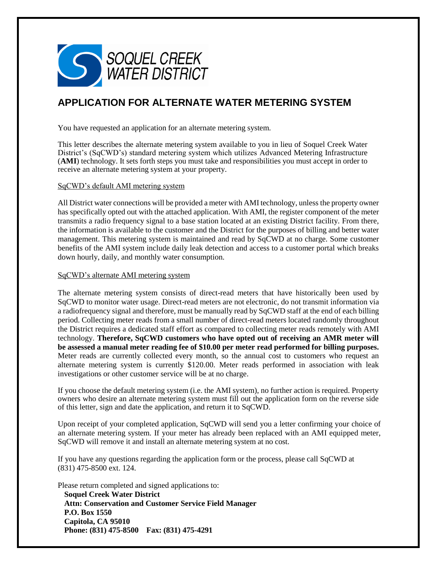

# **APPLICATION FOR ALTERNATE WATER METERING SYSTEM**

You have requested an application for an alternate metering system.

This letter describes the alternate metering system available to you in lieu of Soquel Creek Water District's (SqCWD's) standard metering system which utilizes Advanced Metering Infrastructure (**AMI**) technology. It sets forth steps you must take and responsibilities you must accept in order to receive an alternate metering system at your property.

### SqCWD's default AMI metering system

All District water connections will be provided a meter with AMI technology, unless the property owner has specifically opted out with the attached application. With AMI, the register component of the meter transmits a radio frequency signal to a base station located at an existing District facility. From there, the information is available to the customer and the District for the purposes of billing and better water management. This metering system is maintained and read by SqCWD at no charge. Some customer benefits of the AMI system include daily leak detection and access to a customer portal which breaks down hourly, daily, and monthly water consumption.

### SqCWD's alternate AMI metering system

The alternate metering system consists of direct-read meters that have historically been used by SqCWD to monitor water usage. Direct-read meters are not electronic, do not transmit information via a radiofrequency signal and therefore, must be manually read by SqCWD staff at the end of each billing period. Collecting meter reads from a small number of direct-read meters located randomly throughout the District requires a dedicated staff effort as compared to collecting meter reads remotely with AMI technology. **Therefore, SqCWD customers who have opted out of receiving an AMR meter will be assessed a manual meter reading fee of \$10.00 per meter read performed for billing purposes.**  Meter reads are currently collected every month, so the annual cost to customers who request an alternate metering system is currently \$120.00. Meter reads performed in association with leak investigations or other customer service will be at no charge.

If you choose the default metering system (i.e. the AMI system), no further action is required. Property owners who desire an alternate metering system must fill out the application form on the reverse side of this letter, sign and date the application, and return it to SqCWD.

Upon receipt of your completed application, SqCWD will send you a letter confirming your choice of an alternate metering system. If your meter has already been replaced with an AMI equipped meter, SqCWD will remove it and install an alternate metering system at no cost.

If you have any questions regarding the application form or the process, please call SqCWD at (831) 475-8500 ext. 124.

Please return completed and signed applications to: **Soquel Creek Water District Attn: Conservation and Customer Service Field Manager P.O. Box 1550 Capitola, CA 95010 Phone: (831) 475-8500 Fax: (831) 475-4291**